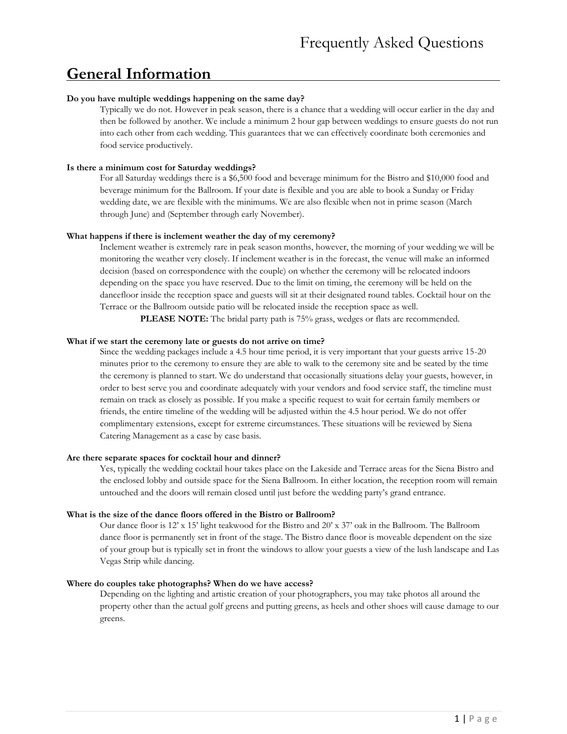# **General Information**

### **Do you have multiple weddings happening on the same day?**

Typically we do not. However in peak season, there is a chance that a wedding will occur earlier in the day and then be followed by another. We include a minimum 2 hour gap between weddings to ensure guests do not run into each other from each wedding. This guarantees that we can effectively coordinate both ceremonies and food service productively.

#### **Is there a minimum cost for Saturday weddings?**

For all Saturday weddings there is a \$6,500 food and beverage minimum for the Bistro and \$10,000 food and beverage minimum for the Ballroom. If your date is flexible and you are able to book a Sunday or Friday wedding date, we are flexible with the minimums. We are also flexible when not in prime season (March through June) and (September through early November).

#### **What happens if there is inclement weather the day of my ceremony?**

Inclement weather is extremely rare in peak season months, however, the morning of your wedding we will be monitoring the weather very closely. If inclement weather is in the forecast, the venue will make an informed decision (based on correspondence with the couple) on whether the ceremony will be relocated indoors depending on the space you have reserved. Due to the limit on timing, the ceremony will be held on the dancefloor inside the reception space and guests will sit at their designated round tables. Cocktail hour on the Terrace or the Ballroom outside patio will be relocated inside the reception space as well.

**PLEASE NOTE:** The bridal party path is 75% grass, wedges or flats are recommended.

#### **What if we start the ceremony late or guests do not arrive on time?**

Since the wedding packages include a 4.5 hour time period, it is very important that your guests arrive 15-20 minutes prior to the ceremony to ensure they are able to walk to the ceremony site and be seated by the time the ceremony is planned to start. We do understand that occasionally situations delay your guests, however, in order to best serve you and coordinate adequately with your vendors and food service staff, the timeline must remain on track as closely as possible. If you make a specific request to wait for certain family members or friends, the entire timeline of the wedding will be adjusted within the 4.5 hour period. We do not offer complimentary extensions, except for extreme circumstances. These situations will be reviewed by Siena Catering Management as a case by case basis.

#### **Are there separate spaces for cocktail hour and dinner?**

Yes, typically the wedding cocktail hour takes place on the Lakeside and Terrace areas for the Siena Bistro and the enclosed lobby and outside space for the Siena Ballroom. In either location, the reception room will remain untouched and the doors will remain closed until just before the wedding party's grand entrance.

#### **What is the size of the dance floors offered in the Bistro or Ballroom?**

Our dance floor is 12' x 15' light teakwood for the Bistro and 20' x 37' oak in the Ballroom. The Ballroom dance floor is permanently set in front of the stage. The Bistro dance floor is moveable dependent on the size of your group but is typically set in front the windows to allow your guests a view of the lush landscape and Las Vegas Strip while dancing.

#### **Where do couples take photographs? When do we have access?**

Depending on the lighting and artistic creation of your photographers, you may take photos all around the property other than the actual golf greens and putting greens, as heels and other shoes will cause damage to our greens.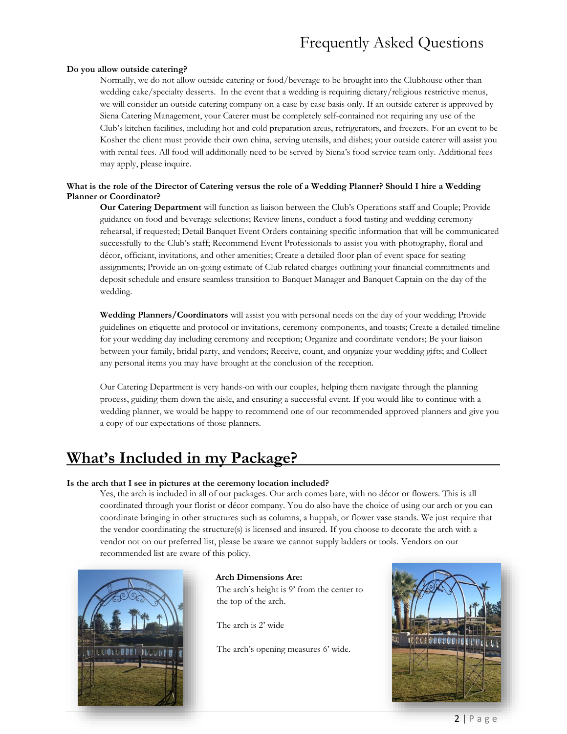# Frequently Asked Questions

#### **Do you allow outside catering?**

Normally, we do not allow outside catering or food/beverage to be brought into the Clubhouse other than wedding cake/specialty desserts. In the event that a wedding is requiring dietary/religious restrictive menus, we will consider an outside catering company on a case by case basis only. If an outside caterer is approved by Siena Catering Management, your Caterer must be completely self-contained not requiring any use of the Club's kitchen facilities, including hot and cold preparation areas, refrigerators, and freezers. For an event to be Kosher the client must provide their own china, serving utensils, and dishes; your outside caterer will assist you with rental fees. All food will additionally need to be served by Siena's food service team only. Additional fees may apply, please inquire.

### **What is the role of the Director of Catering versus the role of a Wedding Planner? Should I hire a Wedding Planner or Coordinator?**

**Our Catering Department** will function as liaison between the Club's Operations staff and Couple; Provide guidance on food and beverage selections; Review linens, conduct a food tasting and wedding ceremony rehearsal, if requested; Detail Banquet Event Orders containing specific information that will be communicated successfully to the Club's staff; Recommend Event Professionals to assist you with photography, floral and décor, officiant, invitations, and other amenities; Create a detailed floor plan of event space for seating assignments; Provide an on-going estimate of Club related charges outlining your financial commitments and deposit schedule and ensure seamless transition to Banquet Manager and Banquet Captain on the day of the wedding.

**Wedding Planners/Coordinators** will assist you with personal needs on the day of your wedding; Provide guidelines on etiquette and protocol or invitations, ceremony components, and toasts; Create a detailed timeline for your wedding day including ceremony and reception; Organize and coordinate vendors; Be your liaison between your family, bridal party, and vendors; Receive, count, and organize your wedding gifts; and Collect any personal items you may have brought at the conclusion of the reception.

Our Catering Department is very hands-on with our couples, helping them navigate through the planning process, guiding them down the aisle, and ensuring a successful event. If you would like to continue with a wedding planner, we would be happy to recommend one of our recommended approved planners and give you a copy of our expectations of those planners.

# **What's Included in my Package?**

### **Is the arch that I see in pictures at the ceremony location included?**

Yes, the arch is included in all of our packages. Our arch comes bare, with no décor or flowers. This is all coordinated through your florist or décor company. You do also have the choice of using our arch or you can coordinate bringing in other structures such as columns, a huppah, or flower vase stands. We just require that the vendor coordinating the structure(s) is licensed and insured. If you choose to decorate the arch with a vendor not on our preferred list, please be aware we cannot supply ladders or tools. Vendors on our recommended list are aware of this policy.



### **Arch Dimensions Are:**

The arch's height is 9' from the center to the top of the arch.

The arch is 2' wide

The arch's opening measures 6' wide.

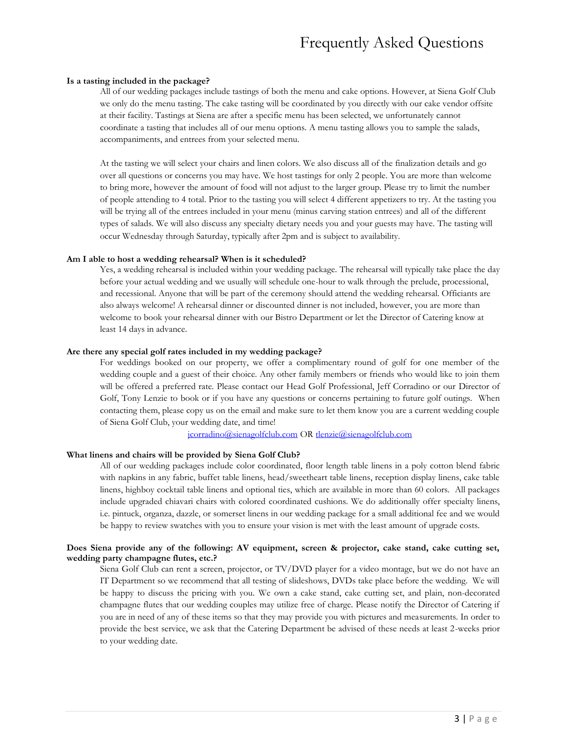# Frequently Asked Questions

#### **Is a tasting included in the package?**

All of our wedding packages include tastings of both the menu and cake options. However, at Siena Golf Club we only do the menu tasting. The cake tasting will be coordinated by you directly with our cake vendor offsite at their facility. Tastings at Siena are after a specific menu has been selected, we unfortunately cannot coordinate a tasting that includes all of our menu options. A menu tasting allows you to sample the salads, accompaniments, and entrees from your selected menu.

At the tasting we will select your chairs and linen colors. We also discuss all of the finalization details and go over all questions or concerns you may have. We host tastings for only 2 people. You are more than welcome to bring more, however the amount of food will not adjust to the larger group. Please try to limit the number of people attending to 4 total. Prior to the tasting you will select 4 different appetizers to try. At the tasting you will be trying all of the entrees included in your menu (minus carving station entrees) and all of the different types of salads. We will also discuss any specialty dietary needs you and your guests may have. The tasting will occur Wednesday through Saturday, typically after 2pm and is subject to availability.

#### **Am I able to host a wedding rehearsal? When is it scheduled?**

Yes, a wedding rehearsal is included within your wedding package. The rehearsal will typically take place the day before your actual wedding and we usually will schedule one-hour to walk through the prelude, processional, and recessional. Anyone that will be part of the ceremony should attend the wedding rehearsal. Officiants are also always welcome! A rehearsal dinner or discounted dinner is not included, however, you are more than welcome to book your rehearsal dinner with our Bistro Department or let the Director of Catering know at least 14 days in advance.

#### **Are there any special golf rates included in my wedding package?**

For weddings booked on our property, we offer a complimentary round of golf for one member of the wedding couple and a guest of their choice. Any other family members or friends who would like to join them will be offered a preferred rate. Please contact our Head Golf Professional, Jeff Corradino or our Director of Golf, Tony Lenzie to book or if you have any questions or concerns pertaining to future golf outings. When contacting them, please copy us on the email and make sure to let them know you are a current wedding couple of Siena Golf Club, your wedding date, and time!

[jcorradino@sienagolfclub.com](mailto:jcorradino@sienagolfclub.com) OR [tlenzie@sienagolfclub.com](mailto:tlenzie@sienagolfclub.com)

#### **What linens and chairs will be provided by Siena Golf Club?**

All of our wedding packages include color coordinated, floor length table linens in a poly cotton blend fabric with napkins in any fabric, buffet table linens, head/sweetheart table linens, reception display linens, cake table linens, highboy cocktail table linens and optional ties, which are available in more than 60 colors. All packages include upgraded chiavari chairs with colored coordinated cushions. We do additionally offer specialty linens, i.e. pintuck, organza, dazzle, or somerset linens in our wedding package for a small additional fee and we would be happy to review swatches with you to ensure your vision is met with the least amount of upgrade costs.

#### **Does Siena provide any of the following: AV equipment, screen & projector, cake stand, cake cutting set, wedding party champagne flutes, etc.?**

Siena Golf Club can rent a screen, projector, or TV/DVD player for a video montage, but we do not have an IT Department so we recommend that all testing of slideshows, DVDs take place before the wedding. We will be happy to discuss the pricing with you. We own a cake stand, cake cutting set, and plain, non-decorated champagne flutes that our wedding couples may utilize free of charge. Please notify the Director of Catering if you are in need of any of these items so that they may provide you with pictures and measurements. In order to provide the best service, we ask that the Catering Department be advised of these needs at least 2-weeks prior to your wedding date.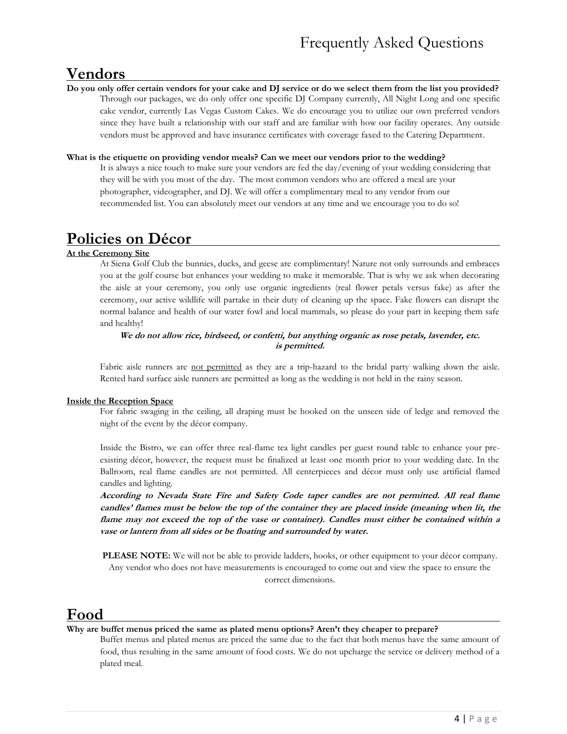# **Vendors**

**Do you only offer certain vendors for your cake and DJ service or do we select them from the list you provided?**  Through our packages, we do only offer one specific DJ Company currently, All Night Long and one specific cake vendor, currently Las Vegas Custom Cakes. We do encourage you to utilize our own preferred vendors since they have built a relationship with our staff and are familiar with how our facility operates. Any outside vendors must be approved and have insurance certificates with coverage faxed to the Catering Department.

### **What is the etiquette on providing vendor meals? Can we meet our vendors prior to the wedding?**

It is always a nice touch to make sure your vendors are fed the day/evening of your wedding considering that they will be with you most of the day. The most common vendors who are offered a meal are your photographer, videographer, and DJ. We will offer a complimentary meal to any vendor from our recommended list. You can absolutely meet our vendors at any time and we encourage you to do so!

# **Policies on Décor**

#### **At the Ceremony Site**

At Siena Golf Club the bunnies, ducks, and geese are complimentary! Nature not only surrounds and embraces you at the golf course but enhances your wedding to make it memorable. That is why we ask when decorating the aisle at your ceremony, you only use organic ingredients (real flower petals versus fake) as after the ceremony, our active wildlife will partake in their duty of cleaning up the space. Fake flowers can disrupt the normal balance and health of our water fowl and local mammals, so please do your part in keeping them safe and healthy!

### **We do not allow rice, birdseed, or confetti, but anything organic as rose petals, lavender, etc. is permitted.**

Fabric aisle runners are not permitted as they are a trip-hazard to the bridal party walking down the aisle. Rented hard surface aisle runners are permitted as long as the wedding is not held in the rainy season.

### **Inside the Reception Space**

For fabric swaging in the ceiling, all draping must be hooked on the unseen side of ledge and removed the night of the event by the décor company.

Inside the Bistro, we can offer three real-flame tea light candles per guest round table to enhance your preexisting décor, however, the request must be finalized at least one month prior to your wedding date. In the Ballroom, real flame candles are not permitted. All centerpieces and décor must only use artificial flamed candles and lighting.

**According to Nevada State Fire and Safety Code taper candles are not permitted. All real flame candles' flames must be below the top of the container they are placed inside (meaning when lit, the flame may not exceed the top of the vase or container). Candles must either be contained within a vase or lantern from all sides or be floating and surrounded by water.**

**PLEASE NOTE:** We will not be able to provide ladders, hooks, or other equipment to your décor company. Any vendor who does not have measurements is encouraged to come out and view the space to ensure the correct dimensions.

## **Food**

#### **Why are buffet menus priced the same as plated menu options? Aren't they cheaper to prepare?**

Buffet menus and plated menus are priced the same due to the fact that both menus have the same amount of food, thus resulting in the same amount of food costs. We do not upcharge the service or delivery method of a plated meal.